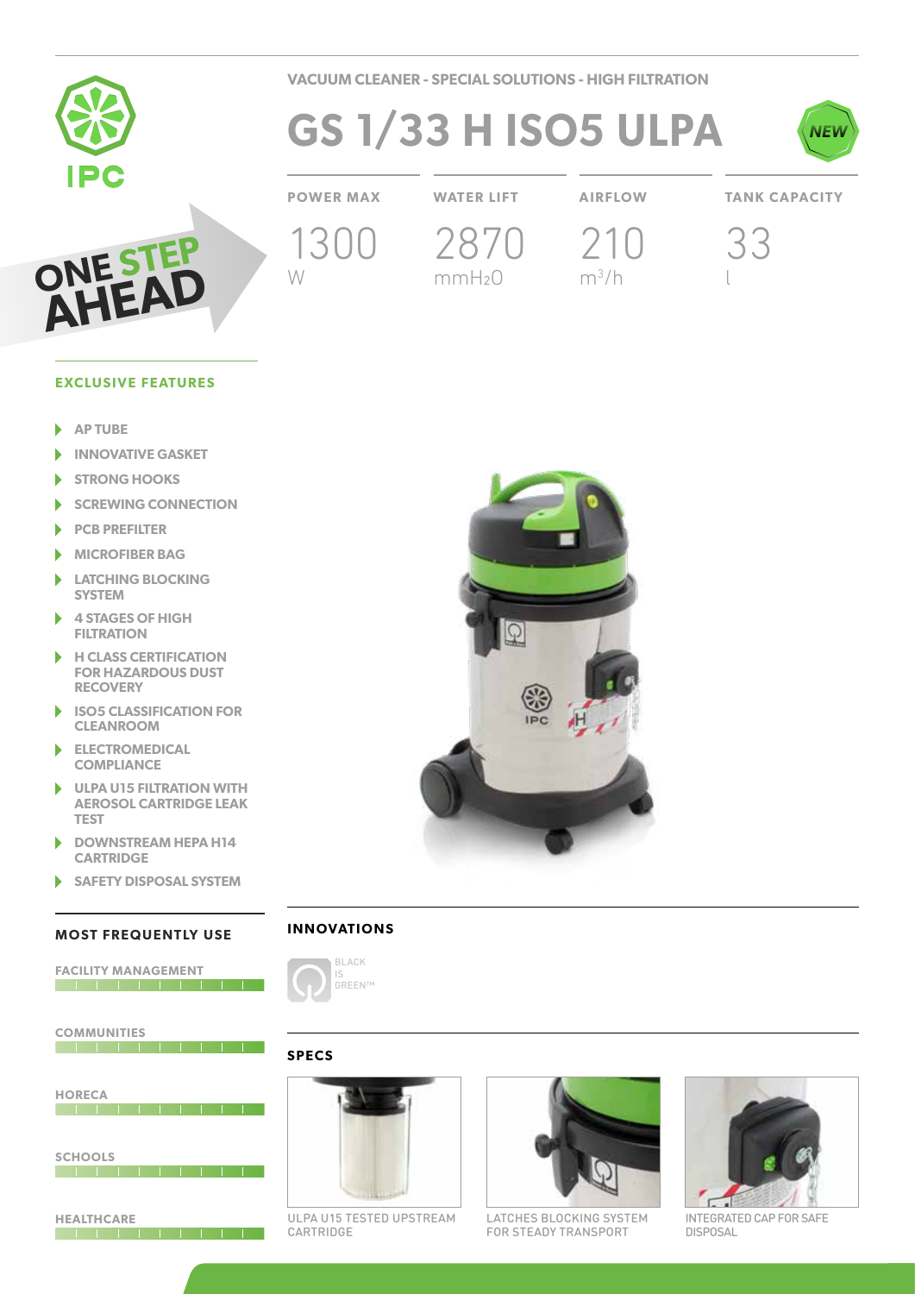

**VACUUM CLEANER - SPECIAL SOLUTIONS - HIGH FILTRATION**

# **GS 1/33 H ISO5 ULPA**



### **POWER MAX WATER LIFT AIRFLOW TANK CAPACITY**

1300

W

2870

mmH2O

210

 $m^3/h$ 

33

l



### **EXCLUSIVE FEATURES**

- **AP TUBE**  $\blacktriangleright$
- **INNOVATIVE GASKET** ь
- **STRONG HOOKS** ١
- ١ **SCREWING CONNECTION**
- b **PCB PREFILTER**
- **MICROFIBER BAG**
- **LATCHING BLOCKING**  N **SYSTEM**
- **4 STAGES OF HIGH**  ь **FILTRATION**
- **H CLASS CERTIFICATION**  ١ **FOR HAZARDOUS DUST RECOVERY**
- b **ISO5 CLASSIFICATION FOR CLEANROOM**
- **ELECTROMEDICAL**  Þ **COMPLIANCE**
- Þ **ULPA U15 FILTRATION WITH AEROSOL CARTRIDGE LEAK TEST**
- **DOWNSTREAM HEPA H14**  ь **CARTRIDGE**
- **SAFETY DISPOSAL SYSTEM**

#### **MOST FREQUENTLY USE**

| <b>FACILITY MANAGEMENT</b> |  |  |  |  |  |  |  |  |
|----------------------------|--|--|--|--|--|--|--|--|
|                            |  |  |  |  |  |  |  |  |
|                            |  |  |  |  |  |  |  |  |
|                            |  |  |  |  |  |  |  |  |
|                            |  |  |  |  |  |  |  |  |
| <b>COMMUNITIES</b>         |  |  |  |  |  |  |  |  |
|                            |  |  |  |  |  |  |  |  |
|                            |  |  |  |  |  |  |  |  |
|                            |  |  |  |  |  |  |  |  |
| <b>HORECA</b>              |  |  |  |  |  |  |  |  |
|                            |  |  |  |  |  |  |  |  |
|                            |  |  |  |  |  |  |  |  |
|                            |  |  |  |  |  |  |  |  |
|                            |  |  |  |  |  |  |  |  |
| <b>SCHOOLS</b>             |  |  |  |  |  |  |  |  |
|                            |  |  |  |  |  |  |  |  |
|                            |  |  |  |  |  |  |  |  |
|                            |  |  |  |  |  |  |  |  |
|                            |  |  |  |  |  |  |  |  |
| <b>HEALTHCARE</b>          |  |  |  |  |  |  |  |  |
|                            |  |  |  |  |  |  |  |  |



## **INNOVATIONS**



#### **SPECS**



ULPA U15 TESTED UPSTREAM CARTRIDGE



LATCHES BLOCKING SYSTEM FOR STEADY TRANSPORT



INTEGRATED CAP FOR SAFE DISPOSAL